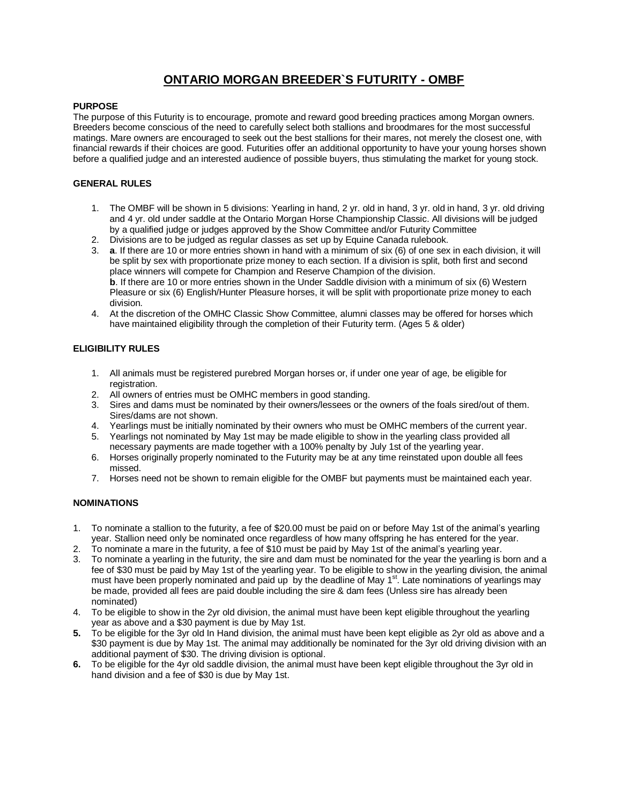# **ONTARIO MORGAN BREEDER`S FUTURITY - OMBF**

# **PURPOSE**

The purpose of this Futurity is to encourage, promote and reward good breeding practices among Morgan owners. Breeders become conscious of the need to carefully select both stallions and broodmares for the most successful matings. Mare owners are encouraged to seek out the best stallions for their mares, not merely the closest one, with financial rewards if their choices are good. Futurities offer an additional opportunity to have your young horses shown before a qualified judge and an interested audience of possible buyers, thus stimulating the market for young stock.

# **GENERAL RULES**

- 1. The OMBF will be shown in 5 divisions: Yearling in hand, 2 yr. old in hand, 3 yr. old in hand, 3 yr. old driving and 4 yr. old under saddle at the Ontario Morgan Horse Championship Classic. All divisions will be judged by a qualified judge or judges approved by the Show Committee and/or Futurity Committee
- 2. Divisions are to be judged as regular classes as set up by Equine Canada rulebook.
- 3. **a**. If there are 10 or more entries shown in hand with a minimum of six (6) of one sex in each division, it will be split by sex with proportionate prize money to each section. If a division is split, both first and second place winners will compete for Champion and Reserve Champion of the division. **b.** If there are 10 or more entries shown in the Under Saddle division with a minimum of six (6) Western Pleasure or six (6) English/Hunter Pleasure horses, it will be split with proportionate prize money to each division.
- 4. At the discretion of the OMHC Classic Show Committee, alumni classes may be offered for horses which have maintained eligibility through the completion of their Futurity term. (Ages 5 & older)

# **ELIGIBILITY RULES**

- 1. All animals must be registered purebred Morgan horses or, if under one year of age, be eligible for registration.
- 2. All owners of entries must be OMHC members in good standing.
- 3. Sires and dams must be nominated by their owners/lessees or the owners of the foals sired/out of them. Sires/dams are not shown.
- 4. Yearlings must be initially nominated by their owners who must be OMHC members of the current year.
- 5. Yearlings not nominated by May 1st may be made eligible to show in the yearling class provided all necessary payments are made together with a 100% penalty by July 1st of the yearling year.
- 6. Horses originally properly nominated to the Futurity may be at any time reinstated upon double all fees missed.
- 7. Horses need not be shown to remain eligible for the OMBF but payments must be maintained each year.

#### **NOMINATIONS**

- 1. To nominate a stallion to the futurity, a fee of \$20.00 must be paid on or before May 1st of the animal's yearling year. Stallion need only be nominated once regardless of how many offspring he has entered for the year.
- 2. To nominate a mare in the futurity, a fee of \$10 must be paid by May 1st of the animal's yearling year.
- 3. To nominate a yearling in the futurity, the sire and dam must be nominated for the year the yearling is born and a fee of \$30 must be paid by May 1st of the yearling year. To be eligible to show in the yearling division, the animal must have been properly nominated and paid up by the deadline of May 1<sup>st</sup>. Late nominations of yearlings may be made, provided all fees are paid double including the sire & dam fees (Unless sire has already been nominated)
- 4. To be eligible to show in the 2yr old division, the animal must have been kept eligible throughout the yearling year as above and a \$30 payment is due by May 1st.
- **5.** To be eligible for the 3yr old In Hand division, the animal must have been kept eligible as 2yr old as above and a \$30 payment is due by May 1st. The animal may additionally be nominated for the 3yr old driving division with an additional payment of \$30. The driving division is optional.
- **6.** To be eligible for the 4yr old saddle division, the animal must have been kept eligible throughout the 3yr old in hand division and a fee of \$30 is due by May 1st.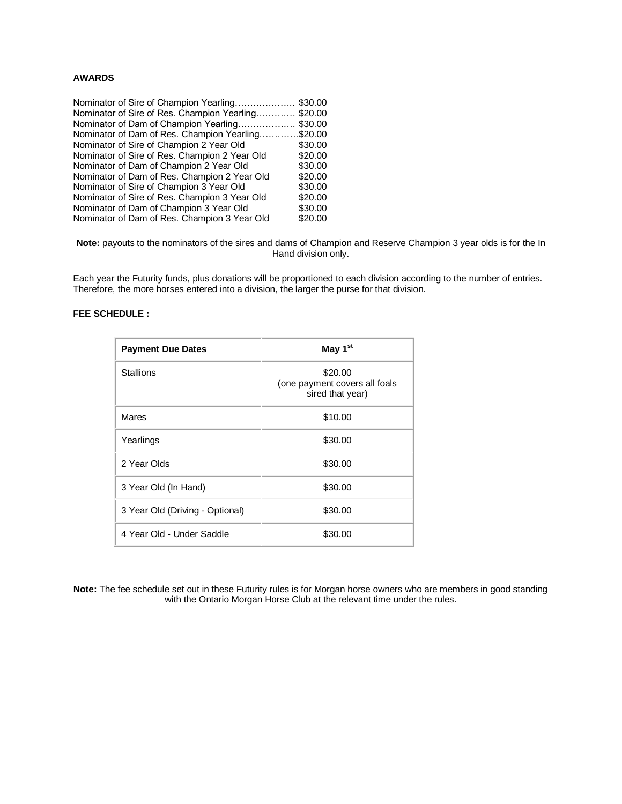## **AWARDS**

| Nominator of Sire of Champion Yearling            | \$30.00 |
|---------------------------------------------------|---------|
| Nominator of Sire of Res. Champion Yearling       | \$20.00 |
| Nominator of Dam of Champion Yearling             | \$30.00 |
| Nominator of Dam of Res. Champion Yearling\$20.00 |         |
| Nominator of Sire of Champion 2 Year Old          | \$30.00 |
| Nominator of Sire of Res. Champion 2 Year Old     | \$20.00 |
| Nominator of Dam of Champion 2 Year Old           | \$30.00 |
| Nominator of Dam of Res. Champion 2 Year Old      | \$20.00 |
| Nominator of Sire of Champion 3 Year Old          | \$30.00 |
| Nominator of Sire of Res. Champion 3 Year Old     | \$20.00 |
| Nominator of Dam of Champion 3 Year Old           | \$30.00 |
| Nominator of Dam of Res. Champion 3 Year Old      | \$20.00 |

**Note:** payouts to the nominators of the sires and dams of Champion and Reserve Champion 3 year olds is for the In Hand division only.

Each year the Futurity funds, plus donations will be proportioned to each division according to the number of entries. Therefore, the more horses entered into a division, the larger the purse for that division.

and the control of the control of the

# **FEE SCHEDULE :**

| <b>Payment Due Dates</b>        | May 1 <sup>st</sup>                                          |
|---------------------------------|--------------------------------------------------------------|
| <b>Stallions</b>                | \$20.00<br>(one payment covers all foals<br>sired that year) |
| Mares                           | \$10.00                                                      |
| Yearlings                       | \$30.00                                                      |
| 2 Year Olds                     | \$30.00                                                      |
| 3 Year Old (In Hand)            | \$30.00                                                      |
| 3 Year Old (Driving - Optional) | \$30.00                                                      |
| 4 Year Old - Under Saddle       | \$30.00                                                      |

**Note:** The fee schedule set out in these Futurity rules is for Morgan horse owners who are members in good standing with the Ontario Morgan Horse Club at the relevant time under the rules.